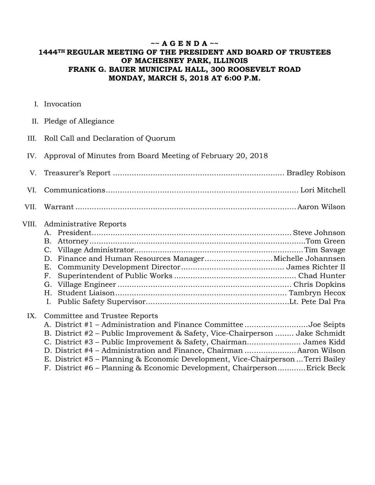## **~~ A G E N D A ~~ 1444TH REGULAR MEETING OF THE PRESIDENT AND BOARD OF TRUSTEES OF MACHESNEY PARK, ILLINOIS FRANK G. BAUER MUNICIPAL HALL, 300 ROOSEVELT ROAD MONDAY, MARCH 5, 2018 AT 6:00 P.M.**

- I. Invocation
- II. Pledge of Allegiance
- III. Roll Call and Declaration of Quorum
- IV. Approval of Minutes from Board Meeting of February 20, 2018

VII. Warrant .............................................................................................. Aaron Wilson

## VIII. Administrative Reports

## IX. Committee and Trustee Reports

| A. District #1 - Administration and Finance Committee Joe Seipts                 |  |
|----------------------------------------------------------------------------------|--|
| B. District #2 – Public Improvement & Safety, Vice-Chairperson  Jake Schmidt     |  |
| C. District #3 – Public Improvement & Safety, Chairman James Kidd                |  |
| D. District #4 - Administration and Finance, Chairman  Aaron Wilson              |  |
| E. District #5 – Planning & Economic Development, Vice-Chairperson  Terri Bailey |  |
|                                                                                  |  |

F. District #6 – Planning & Economic Development, Chairperson ............ Erick Beck